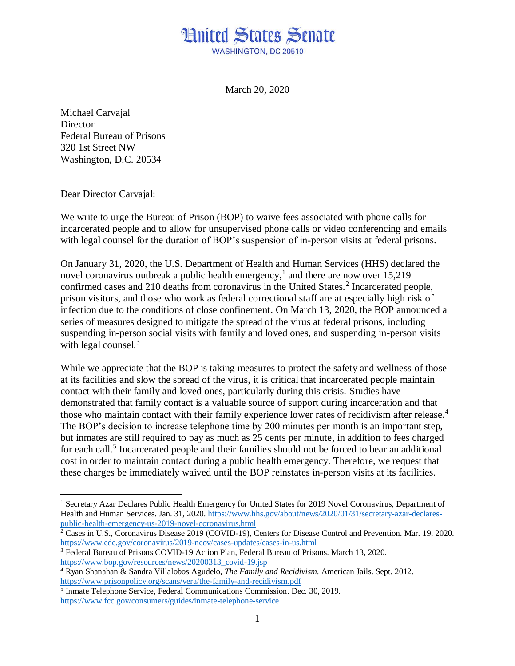## **Hnited States Senate WASHINGTON, DC 20510**

March 20, 2020

Michael Carvajal **Director** Federal Bureau of Prisons 320 1st Street NW Washington, D.C. 20534

Dear Director Carvajal:

We write to urge the Bureau of Prison (BOP) to waive fees associated with phone calls for incarcerated people and to allow for unsupervised phone calls or video conferencing and emails with legal counsel for the duration of BOP's suspension of in-person visits at federal prisons.

On January 31, 2020, the U.S. Department of Health and Human Services (HHS) declared the novel coronavirus outbreak a public health emergency,<sup>1</sup> and there are now over 15,219 confirmed cases and 210 deaths from coronavirus in the United States.<sup>2</sup> Incarcerated people, prison visitors, and those who work as federal correctional staff are at especially high risk of infection due to the conditions of close confinement. On March 13, 2020, the BOP announced a series of measures designed to mitigate the spread of the virus at federal prisons, including suspending in-person social visits with family and loved ones, and suspending in-person visits with legal counsel.<sup>3</sup>

While we appreciate that the BOP is taking measures to protect the safety and wellness of those at its facilities and slow the spread of the virus, it is critical that incarcerated people maintain contact with their family and loved ones, particularly during this crisis. Studies have demonstrated that family contact is a valuable source of support during incarceration and that those who maintain contact with their family experience lower rates of recidivism after release. 4 The BOP's decision to increase telephone time by 200 minutes per month is an important step, but inmates are still required to pay as much as 25 cents per minute, in addition to fees charged for each call.<sup>5</sup> Incarcerated people and their families should not be forced to bear an additional cost in order to maintain contact during a public health emergency. Therefore, we request that these charges be immediately waived until the BOP reinstates in-person visits at its facilities.

<sup>&</sup>lt;sup>1</sup> Secretary Azar Declares Public Health Emergency for United States for 2019 Novel Coronavirus, Department of Health and Human Services. Jan. 31, 2020. [https://www.hhs.gov/about/news/2020/01/31/secretary-azar-declares](https://www.hhs.gov/about/news/2020/01/31/secretary-azar-declares-public-health-emergency-us-2019-novel-coronavirus.html)[public-health-emergency-us-2019-novel-coronavirus.html](https://www.hhs.gov/about/news/2020/01/31/secretary-azar-declares-public-health-emergency-us-2019-novel-coronavirus.html)

<sup>&</sup>lt;sup>2</sup> Cases in U.S., Coronavirus Disease 2019 (COVID-19), Centers for Disease Control and Prevention. Mar. 19, 2020. <https://www.cdc.gov/coronavirus/2019-ncov/cases-updates/cases-in-us.html>

<sup>3</sup> Federal Bureau of Prisons COVID-19 Action Plan, Federal Bureau of Prisons. March 13, 2020. [https://www.bop.gov/resources/news/20200313\\_covid-19.jsp](https://www.bop.gov/resources/news/20200313_covid-19.jsp)

<sup>4</sup> Ryan Shanahan & Sandra Villalobos Agudelo, *The Family and Recidivism*. American Jails. Sept. 2012. <https://www.prisonpolicy.org/scans/vera/the-family-and-recidivism.pdf>

<sup>5</sup> Inmate Telephone Service, Federal Communications Commission. Dec. 30, 2019. <https://www.fcc.gov/consumers/guides/inmate-telephone-service>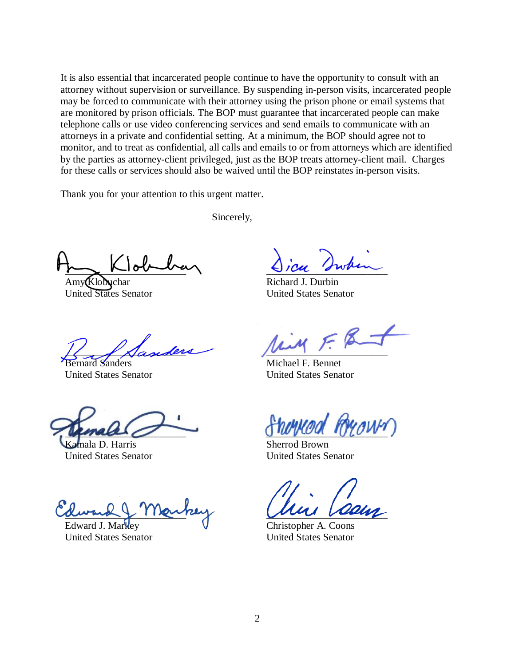It is also essential that incarcerated people continue to have the opportunity to consult with an attorney without supervision or surveillance. By suspending in-person visits, incarcerated people may be forced to communicate with their attorney using the prison phone or email systems that are monitored by prison officials. The BOP must guarantee that incarcerated people can make telephone calls or use video conferencing services and send emails to communicate with an attorneys in a private and confidential setting. At a minimum, the BOP should agree not to monitor, and to treat as confidential, all calls and emails to or from attorneys which are identified by the parties as attorney-client privileged, just as the BOP treats attorney-client mail. Charges for these calls or services should also be waived until the BOP reinstates in-person visits.

Thank you for your attention to this urgent matter.

Sincerely,

 $\sim$   $N$  $\sim$ 

 $Amv$  $K$ lobuchar United States Senator

\_\_\_\_\_\_\_\_\_\_\_\_\_\_\_\_\_\_\_\_\_\_\_\_

Sanders United States Senator

 $\mu$ male

mala D. Harris United States Senator

 $\alpha$ wond  $\gamma$  11 and

Edward J. Markey United States Senator

 $C1CA$  swam

Richard J. Durbin United States Senator

 $\mu$ 

Michael F. Bennet United States Senator

 $O$  when  $U$ 

Sherrod Brown United States Senator

\_\_\_\_\_\_\_\_\_\_\_\_\_\_\_\_\_\_\_\_\_\_\_\_

Christopher A. Coons United States Senator